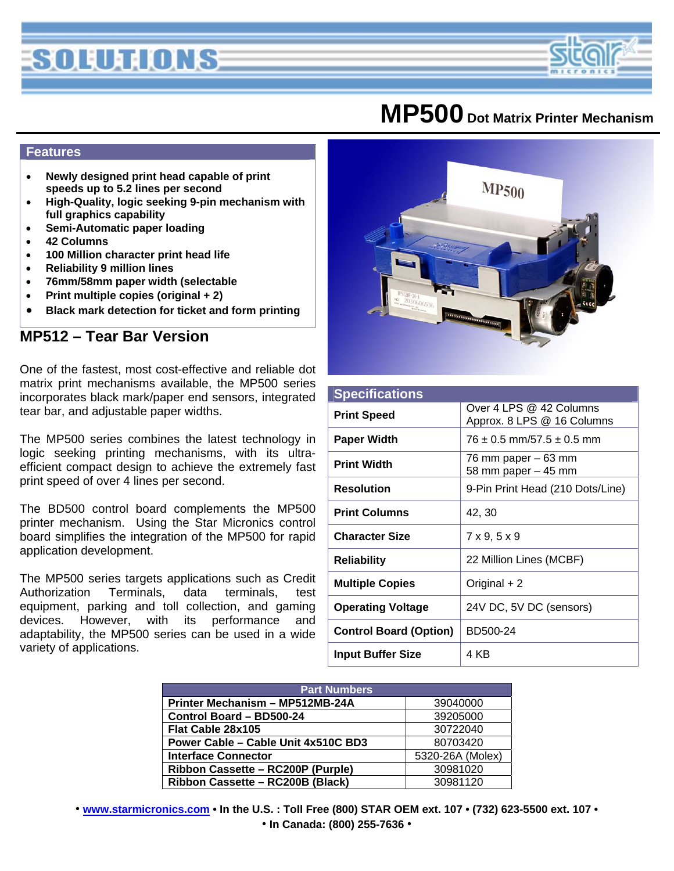# SOLUTIONS

### **MP500 Dot Matrix Printer Mechanism**

#### **Features**

- **Newly designed print head capable of print speeds up to 5.2 lines per second**
- **High-Quality, logic seeking 9-pin mechanism with full graphics capability**
- **Semi-Automatic paper loading**
- **42 Columns**
- **100 Million character print head life**
- **Reliability 9 million lines**
- **76mm/58mm paper width (selectable**
- **Print multiple copies (original + 2)**
- **Black mark detection for ticket and form printing**

### **MP512 – Tear Bar Version**

One of the fastest, most cost-effective and reliable dot matrix print mechanisms available, the MP500 series incorporates black mark/paper end sensors, integrated tear bar, and adjustable paper widths.

The MP500 series combines the latest technology in logic seeking printing mechanisms, with its ultraefficient compact design to achieve the extremely fast print speed of over 4 lines per second.

The BD500 control board complements the MP500 printer mechanism. Using the Star Micronics control board simplifies the integration of the MP500 for rapid application development.

The MP500 series targets applications such as Credit Authorization Terminals, data terminals, test equipment, parking and toll collection, and gaming devices. However, with its performance and adaptability, the MP500 series can be used in a wide variety of applications.



| <b>Specifications</b>         |                                                       |  |
|-------------------------------|-------------------------------------------------------|--|
| <b>Print Speed</b>            | Over 4 LPS @ 42 Columns<br>Approx. 8 LPS @ 16 Columns |  |
| <b>Paper Width</b>            | $76 \pm 0.5$ mm/57.5 $\pm$ 0.5 mm                     |  |
| <b>Print Width</b>            | 76 mm paper – 63 mm<br>58 mm paper $-45$ mm           |  |
| <b>Resolution</b>             | 9-Pin Print Head (210 Dots/Line)                      |  |
| <b>Print Columns</b>          | 42, 30                                                |  |
| <b>Character Size</b>         | 7x9, 5x9                                              |  |
| <b>Reliability</b>            | 22 Million Lines (MCBF)                               |  |
| <b>Multiple Copies</b>        | Original + 2                                          |  |
| <b>Operating Voltage</b>      | 24V DC, 5V DC (sensors)                               |  |
| <b>Control Board (Option)</b> | BD500-24                                              |  |
| <b>Input Buffer Size</b>      | 4 KB                                                  |  |

| <b>Part Numbers</b>                 |                  |  |
|-------------------------------------|------------------|--|
| Printer Mechanism - MP512MB-24A     | 39040000         |  |
| Control Board - BD500-24            | 39205000         |  |
| Flat Cable 28x105                   | 30722040         |  |
| Power Cable - Cable Unit 4x510C BD3 | 80703420         |  |
| <b>Interface Connector</b>          | 5320-26A (Molex) |  |
| Ribbon Cassette - RC200P (Purple)   | 30981020         |  |
| Ribbon Cassette - RC200B (Black)    | 30981120         |  |

• **www.starmicronics.com • In the U.S. : Toll Free (800) STAR OEM ext. 107 • (732) 623-5500 ext. 107 •**  • **In Canada: (800) 255-7636** •